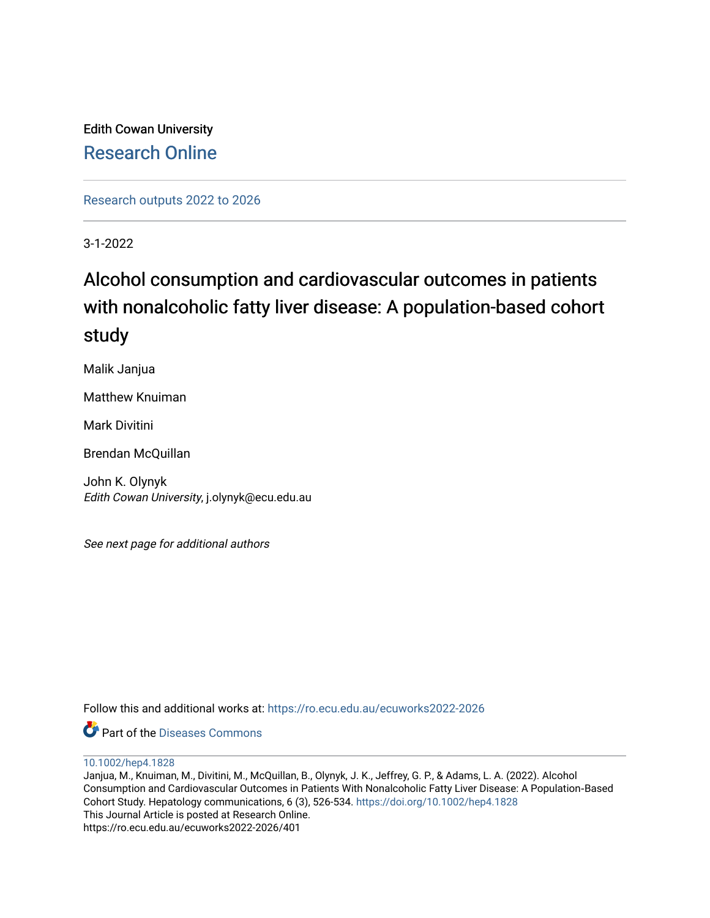Edith Cowan University [Research Online](https://ro.ecu.edu.au/) 

[Research outputs 2022 to 2026](https://ro.ecu.edu.au/ecuworks2022-2026) 

3-1-2022

# Alcohol consumption and cardiovascular outcomes in patients with nonalcoholic fatty liver disease: A population-based cohort study

Malik Janjua

Matthew Knuiman

Mark Divitini

Brendan McQuillan

John K. Olynyk Edith Cowan University, j.olynyk@ecu.edu.au

See next page for additional authors

Follow this and additional works at: [https://ro.ecu.edu.au/ecuworks2022-2026](https://ro.ecu.edu.au/ecuworks2022-2026?utm_source=ro.ecu.edu.au%2Fecuworks2022-2026%2F401&utm_medium=PDF&utm_campaign=PDFCoverPages)

Part of the [Diseases Commons](http://network.bepress.com/hgg/discipline/813?utm_source=ro.ecu.edu.au%2Fecuworks2022-2026%2F401&utm_medium=PDF&utm_campaign=PDFCoverPages)

[10.1002/hep4.1828](http://dx.doi.org/10.1002/hep4.1828) 

Janjua, M., Knuiman, M., Divitini, M., McQuillan, B., Olynyk, J. K., Jeffrey, G. P., & Adams, L. A. (2022). Alcohol Consumption and Cardiovascular Outcomes in Patients With Nonalcoholic Fatty Liver Disease: A Population‐Based Cohort Study. Hepatology communications, 6 (3), 526-534.<https://doi.org/10.1002/hep4.1828> This Journal Article is posted at Research Online. https://ro.ecu.edu.au/ecuworks2022-2026/401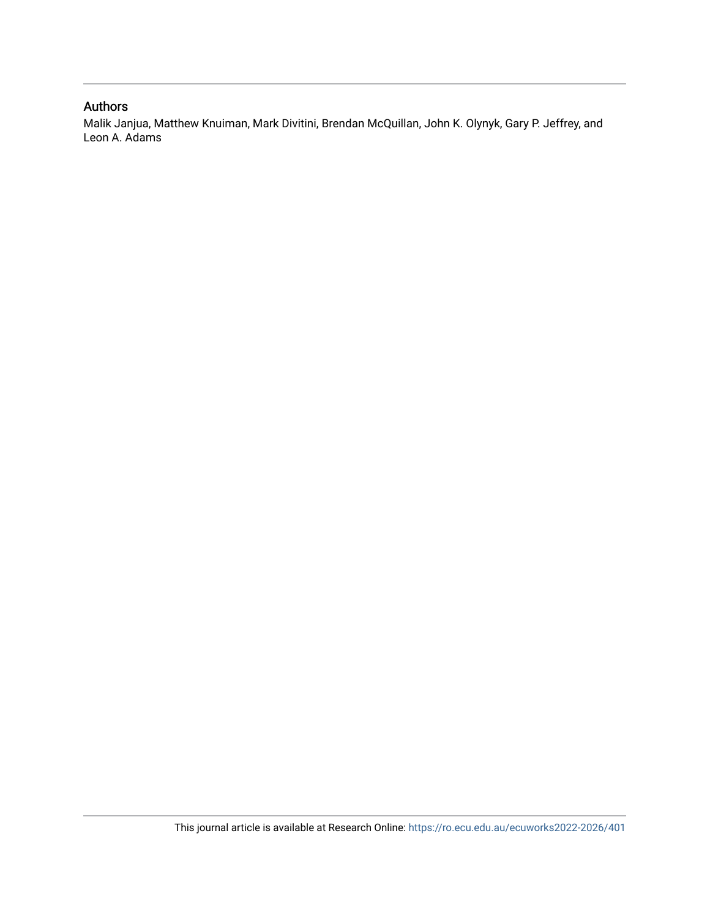#### Authors

Malik Janjua, Matthew Knuiman, Mark Divitini, Brendan McQuillan, John K. Olynyk, Gary P. Jeffrey, and Leon A. Adams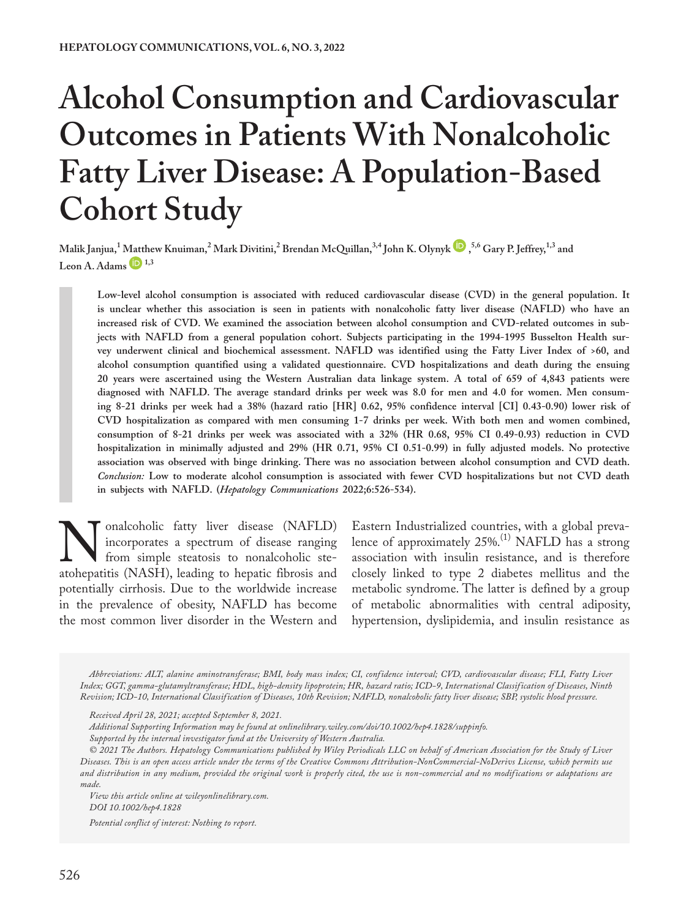# **Alcohol Consumption and Cardiovascular Outcomes in Patients With Nonalcoholic Fatty Liver Disease: A Population-Based Cohort Study**

**Malik Janjua,<sup>1</sup> [Matth](https://orcid.org/0000-0002-3968-7909)ew Knuiman,<sup>2</sup> Mar[k](https://orcid.org/0000-0003-0417-3411) Divitini,<sup>2</sup> Brendan McQuillan,<sup>3,4</sup> John K. Olynyk**  $\bullet$ **,<sup>5,6</sup> Gary P. Jeffrey,<sup>1,3</sup> and Leon A. Adams 1,3**

Low-level alcohol consumption is associated with reduced cardiovascular disease (CVD) in the general population. It **is unclear whether this association is seen in patients with nonalcoholic fatty liver disease (NAFLD) who have an increased risk of CVD. We examined the association between alcohol consumption and CVD-related outcomes in subjects with NAFLD from a general population cohort. Subjects participating in the 1994-1995 Busselton Health survey underwent clinical and biochemical assessment. NAFLD was identified using the Fatty Liver Index of >60, and alcohol consumption quantified using a validated questionnaire. CVD hospitalizations and death during the ensuing 20 years were ascertained using the Western Australian data linkage system. A total of 659 of 4,843 patients were diagnosed with NAFLD. The average standard drinks per week was 8.0 for men and 4.0 for women. Men consuming 8-21 drinks per week had a 38% (hazard ratio [HR] 0.62, 95% confidence interval [CI] 0.43-0.90) lower risk of CVD hospitalization as compared with men consuming 1-7 drinks per week. With both men and women combined, consumption of 8-21 drinks per week was associated with a 32% (HR 0.68, 95% CI 0.49-0.93) reduction in CVD hospitalization in minimally adjusted and 29% (HR 0.71, 95% CI 0.51-0.99) in fully adjusted models. No protective association was observed with binge drinking. There was no association between alcohol consumption and CVD death.**  *Conclusion:* **Low to moderate alcohol consumption is associated with fewer CVD hospitalizations but not CVD death in subjects with NAFLD. (***Hepatology Communications* **2022;6:526-534).**

Monalcoholic fatty liver disease (NAFLD)<br>incorporates a spectrum of disease ranging<br>from simple steatosis to nonalcoholic ste-<br>atohepatitis (NASH), leading to hepatic fibrosis and incorporates a spectrum of disease ranging from simple steatosis to nonalcoholic steatohepatitis (NASH), leading to hepatic fibrosis and potentially cirrhosis. Due to the worldwide increase in the prevalence of obesity, NAFLD has become the most common liver disorder in the Western and

Eastern Industrialized countries, with a global prevalence of approximately 25%.<sup>(1)</sup> NAFLD has a strong association with insulin resistance, and is therefore closely linked to type 2 diabetes mellitus and the metabolic syndrome. The latter is defined by a group of metabolic abnormalities with central adiposity, hypertension, dyslipidemia, and insulin resistance as

*Abbreviations: ALT, alanine aminotransferase; BMI, body mass index; CI, confidence interval; CVD, cardiovascular disease; FLI, Fatty Liver Index; GGT, gamma-glutamyltransferase; HDL, high-density lipoprotein; HR, hazard ratio; ICD-9, International Classification of Diseases, Ninth Revision; ICD-10, International Classification of Diseases, 10th Revision; NAFLD, nonalcoholic fatty liver disease; SBP, systolic blood pressure.*

*Additional Supporting Information may be found at [onlinelibrary.wiley.com/doi/10.1002/hep4.1828/suppinfo.](https://onlinelibrary.wiley.com/doi/10.1002/hep4.1828/suppinfo) Supported by the internal investigator fund at the University of Western Australia.*

*© 2021 The Authors. Hepatology Communications published by Wiley Periodicals LLC on behalf of American Association for the Study of Liver Diseases. This is an open access article under the terms of the [Creative Commons Attribution-NonCommercial-NoDerivs](http://creativecommons.org/licenses/by-nc-nd/4.0/) License, which permits use and distribution in any medium, provided the original work is properly cited, the use is non-commercial and no modifications or adaptations are made.*

*View this article online at wileyonlinelibrary.com. DOI 10.1002/hep4.1828 Potential conflict of interest: Nothing to report.*

526

*Received April 28, 2021; accepted September 8, 2021.*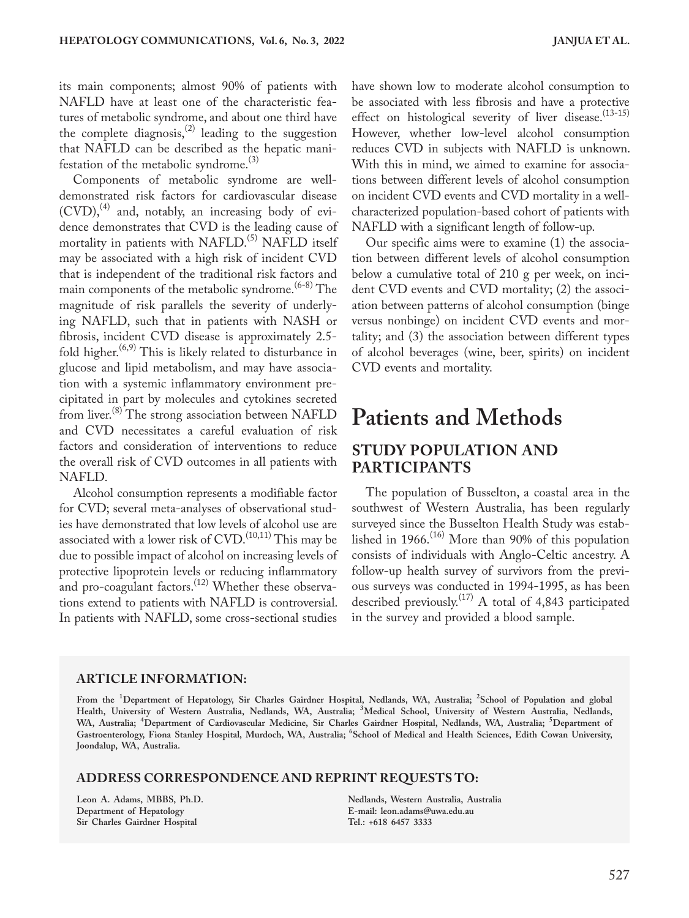its main components; almost 90% of patients with NAFLD have at least one of the characteristic features of metabolic syndrome, and about one third have the complete diagnosis,<sup>(2)</sup> leading to the suggestion that NAFLD can be described as the hepatic manifestation of the metabolic syndrome. $^{(3)}$ 

Components of metabolic syndrome are welldemonstrated risk factors for cardiovascular disease  $(CVD)$ ,  $(4)$  and, notably, an increasing body of evidence demonstrates that CVD is the leading cause of mortality in patients with NAFLD.<sup>(5)</sup> NAFLD itself may be associated with a high risk of incident CVD that is independent of the traditional risk factors and main components of the metabolic syndrome.<sup>(6-8)</sup> The magnitude of risk parallels the severity of underlying NAFLD, such that in patients with NASH or fibrosis, incident CVD disease is approximately 2.5 fold higher.<sup>(6,9)</sup> This is likely related to disturbance in glucose and lipid metabolism, and may have association with a systemic inflammatory environment precipitated in part by molecules and cytokines secreted from liver.<sup>(8)</sup> The strong association between NAFLD and CVD necessitates a careful evaluation of risk factors and consideration of interventions to reduce the overall risk of CVD outcomes in all patients with NAFLD.

Alcohol consumption represents a modifiable factor for CVD; several meta-analyses of observational studies have demonstrated that low levels of alcohol use are associated with a lower risk of  $\mathrm{CVD}^{(10,11)}$  This may be due to possible impact of alcohol on increasing levels of protective lipoprotein levels or reducing inflammatory and pro-coagulant factors.<sup>(12)</sup> Whether these observations extend to patients with NAFLD is controversial. In patients with NAFLD, some cross-sectional studies

have shown low to moderate alcohol consumption to be associated with less fibrosis and have a protective effect on histological severity of liver disease.<sup>(13-15)</sup> However, whether low-level alcohol consumption reduces CVD in subjects with NAFLD is unknown. With this in mind, we aimed to examine for associations between different levels of alcohol consumption on incident CVD events and CVD mortality in a wellcharacterized population-based cohort of patients with NAFLD with a significant length of follow-up.

Our specific aims were to examine (1) the association between different levels of alcohol consumption below a cumulative total of 210 g per week, on incident CVD events and CVD mortality; (2) the association between patterns of alcohol consumption (binge versus nonbinge) on incident CVD events and mortality; and (3) the association between different types of alcohol beverages (wine, beer, spirits) on incident CVD events and mortality.

# **Patients and Methods STUDY POPULATION AND**

# **PARTICIPANTS**

The population of Busselton, a coastal area in the southwest of Western Australia, has been regularly surveyed since the Busselton Health Study was established in 1966.(16) More than 90% of this population consists of individuals with Anglo-Celtic ancestry. A follow-up health survey of survivors from the previous surveys was conducted in 1994-1995, as has been described previously.<sup> $(17)$ </sup> A total of 4,843 participated in the survey and provided a blood sample.

#### **ARTICLE INFORMATION:**

**From the <sup>1</sup> Department of Hepatology, Sir Charles Gairdner Hospital, Nedlands, WA, Australia; <sup>2</sup> School of Population and global Health, University of Western Australia, Nedlands, WA, Australia; <sup>3</sup> Medical School, University of Western Australia, Nedlands, WA, Australia; <sup>4</sup> Department of Cardiovascular Medicine, Sir Charles Gairdner Hospital, Nedlands, WA, Australia; <sup>5</sup> Department of Gastroenterology, Fiona Stanley Hospital, Murdoch, WA, Australia; <sup>6</sup> School of Medical and Health Sciences, Edith Cowan University, Joondalup, WA, Australia.**

#### **ADDRESS CORRESPONDENCE AND REPRINT REQUESTS TO:**

**Leon A. Adams, MBBS, Ph.D. Department of Hepatology Sir Charles Gairdner Hospital** 

**Nedlands, Western Australia, Australia E-mail: [leon.adams@uwa.edu.au](mailto:leon.adams@uwa.edu.au)  Tel.: +618 6457 3333**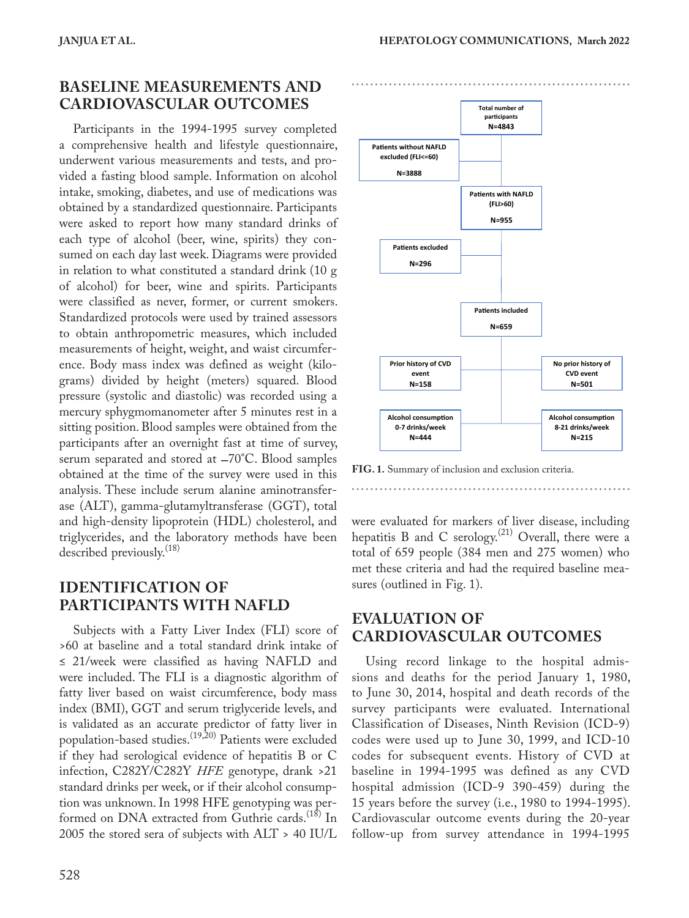### **BASELINE MEASUREMENTS AND CARDIOVASCULAR OUTCOMES**

Participants in the 1994-1995 survey completed a comprehensive health and lifestyle questionnaire, underwent various measurements and tests, and provided a fasting blood sample. Information on alcohol intake, smoking, diabetes, and use of medications was obtained by a standardized questionnaire. Participants were asked to report how many standard drinks of each type of alcohol (beer, wine, spirits) they consumed on each day last week. Diagrams were provided in relation to what constituted a standard drink (10 g of alcohol) for beer, wine and spirits. Participants were classified as never, former, or current smokers. Standardized protocols were used by trained assessors to obtain anthropometric measures, which included measurements of height, weight, and waist circumference. Body mass index was defined as weight (kilograms) divided by height (meters) squared. Blood pressure (systolic and diastolic) was recorded using a mercury sphygmomanometer after 5 minutes rest in a sitting position. Blood samples were obtained from the participants after an overnight fast at time of survey, serum separated and stored at −70°C. Blood samples obtained at the time of the survey were used in this analysis. These include serum alanine aminotransferase (ALT), gamma-glutamyltransferase (GGT), total and high-density lipoprotein (HDL) cholesterol, and triglycerides, and the laboratory methods have been described previously.<sup>(18)</sup>

### **IDENTIFICATION OF PARTICIPANTS WITH NAFLD**

Subjects with a Fatty Liver Index (FLI) score of >60 at baseline and a total standard drink intake of ≤ 21/week were classified as having NAFLD and were included. The FLI is a diagnostic algorithm of fatty liver based on waist circumference, body mass index (BMI), GGT and serum triglyceride levels, and is validated as an accurate predictor of fatty liver in population-based studies.<sup>(19,20)</sup> Patients were excluded if they had serological evidence of hepatitis B or C infection, C282Y/C282Y *HFE* genotype, drank >21 standard drinks per week, or if their alcohol consumption was unknown. In 1998 HFE genotyping was performed on DNA extracted from Guthrie cards.<sup>(18)</sup> In 2005 the stored sera of subjects with ALT > 40 IU/L



**FIG. 1.** Summary of inclusion and exclusion criteria.

were evaluated for markers of liver disease, including hepatitis B and C serology.<sup>(21)</sup> Overall, there were a total of 659 people (384 men and 275 women) who met these criteria and had the required baseline measures (outlined in Fig. 1).

### **EVALUATION OF CARDIOVASCULAR OUTCOMES**

Using record linkage to the hospital admissions and deaths for the period January 1, 1980, to June 30, 2014, hospital and death records of the survey participants were evaluated. International Classification of Diseases, Ninth Revision (ICD-9) codes were used up to June 30, 1999, and ICD-10 codes for subsequent events. History of CVD at baseline in 1994-1995 was defined as any CVD hospital admission (ICD-9 390-459) during the 15 years before the survey (i.e., 1980 to 1994-1995). Cardiovascular outcome events during the 20-year follow-up from survey attendance in 1994-1995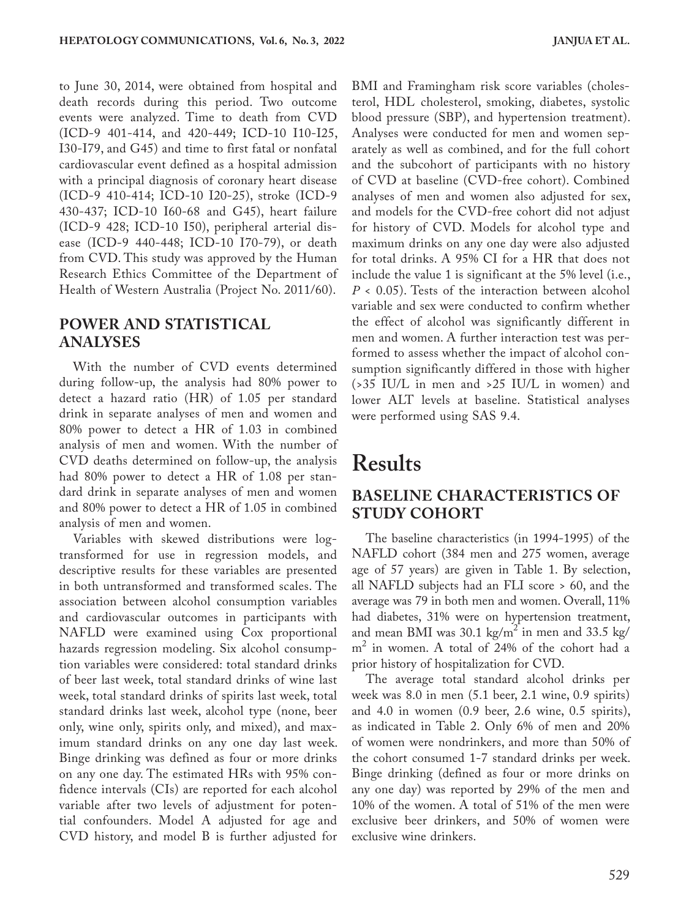to June 30, 2014, were obtained from hospital and death records during this period. Two outcome events were analyzed. Time to death from CVD (ICD-9 401-414, and 420-449; ICD-10 I10-I25, I30-I79, and G45) and time to first fatal or nonfatal cardiovascular event defined as a hospital admission with a principal diagnosis of coronary heart disease (ICD-9 410-414; ICD-10 I20-25), stroke (ICD-9 430-437; ICD-10 I60-68 and G45), heart failure (ICD-9 428; ICD-10 I50), peripheral arterial disease (ICD-9 440-448; ICD-10 I70-79), or death from CVD. This study was approved by the Human Research Ethics Committee of the Department of Health of Western Australia (Project No. 2011/60).

### **POWER AND STATISTICAL ANALYSES**

With the number of CVD events determined during follow-up, the analysis had 80% power to detect a hazard ratio (HR) of 1.05 per standard drink in separate analyses of men and women and 80% power to detect a HR of 1.03 in combined analysis of men and women. With the number of CVD deaths determined on follow-up, the analysis had 80% power to detect a HR of 1.08 per standard drink in separate analyses of men and women and 80% power to detect a HR of 1.05 in combined analysis of men and women.

Variables with skewed distributions were logtransformed for use in regression models, and descriptive results for these variables are presented in both untransformed and transformed scales. The association between alcohol consumption variables and cardiovascular outcomes in participants with NAFLD were examined using Cox proportional hazards regression modeling. Six alcohol consumption variables were considered: total standard drinks of beer last week, total standard drinks of wine last week, total standard drinks of spirits last week, total standard drinks last week, alcohol type (none, beer only, wine only, spirits only, and mixed), and maximum standard drinks on any one day last week. Binge drinking was defined as four or more drinks on any one day. The estimated HRs with 95% confidence intervals (CIs) are reported for each alcohol variable after two levels of adjustment for potential confounders. Model A adjusted for age and CVD history, and model B is further adjusted for BMI and Framingham risk score variables (cholesterol, HDL cholesterol, smoking, diabetes, systolic blood pressure (SBP), and hypertension treatment). Analyses were conducted for men and women separately as well as combined, and for the full cohort and the subcohort of participants with no history of CVD at baseline (CVD-free cohort). Combined analyses of men and women also adjusted for sex, and models for the CVD-free cohort did not adjust for history of CVD. Models for alcohol type and maximum drinks on any one day were also adjusted for total drinks. A 95% CI for a HR that does not include the value 1 is significant at the 5% level (i.e., *P* < 0.05). Tests of the interaction between alcohol variable and sex were conducted to confirm whether the effect of alcohol was significantly different in men and women. A further interaction test was performed to assess whether the impact of alcohol consumption significantly differed in those with higher (>35 IU/L in men and >25 IU/L in women) and lower ALT levels at baseline. Statistical analyses were performed using SAS 9.4.

# **Results**

### **BASELINE CHARACTERISTICS OF STUDY COHORT**

The baseline characteristics (in 1994-1995) of the NAFLD cohort (384 men and 275 women, average age of 57 years) are given in Table 1. By selection, all NAFLD subjects had an FLI score > 60, and the average was 79 in both men and women. Overall, 11% had diabetes, 31% were on hypertension treatment, and mean BMI was 30.1 kg/m<sup>2</sup> in men and 33.5 kg/ m 2 in women. A total of 24% of the cohort had a prior history of hospitalization for CVD.

The average total standard alcohol drinks per week was 8.0 in men (5.1 beer, 2.1 wine, 0.9 spirits) and 4.0 in women (0.9 beer, 2.6 wine, 0.5 spirits), as indicated in Table 2. Only 6% of men and 20% of women were nondrinkers, and more than 50% of the cohort consumed 1-7 standard drinks per week. Binge drinking (defined as four or more drinks on any one day) was reported by 29% of the men and 10% of the women. A total of 51% of the men were exclusive beer drinkers, and 50% of women were exclusive wine drinkers.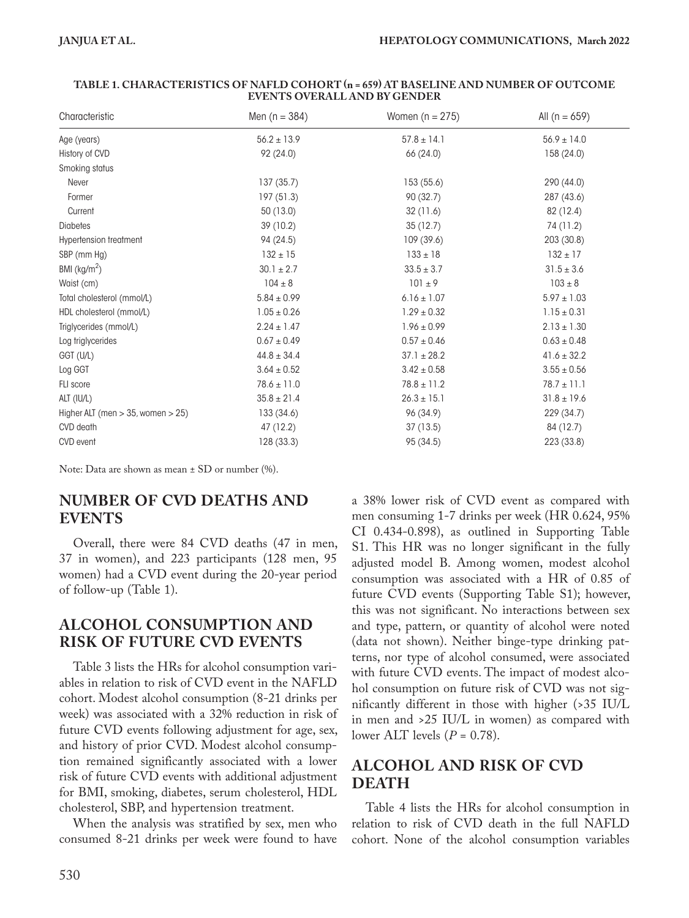| Characteristic                        | Men $(n = 384)$ | Women $(n = 275)$ | All $(n = 659)$ |
|---------------------------------------|-----------------|-------------------|-----------------|
| Age (years)                           | $56.2 \pm 13.9$ | $57.8 \pm 14.1$   | $56.9 \pm 14.0$ |
| History of CVD                        | 92 (24.0)       | 66 (24.0)         | 158 (24.0)      |
| Smoking status                        |                 |                   |                 |
| Never                                 | 137(35.7)       | 153 (55.6)        | 290 (44.0)      |
| Former                                | 197 (51.3)      | 90(32.7)          | 287 (43.6)      |
| Current                               | 50(13.0)        | 32 (11.6)         | 82 (12.4)       |
| <b>Diabetes</b>                       | 39(10.2)        | 35(12.7)          | 74 (11.2)       |
| <b>Hypertension treatment</b>         | 94 (24.5)       | 109 (39.6)        | 203 (30.8)      |
| SBP (mm Hg)                           | $132 \pm 15$    | $133 \pm 18$      | $132 \pm 17$    |
| BMI $(kg/m2)$                         | $30.1 \pm 2.7$  | $33.5 \pm 3.7$    | $31.5 \pm 3.6$  |
| Waist (cm)                            | $104 \pm 8$     | $101 \pm 9$       | $103 \pm 8$     |
| Total cholesterol (mmol/L)            | $5.84 \pm 0.99$ | $6.16 \pm 1.07$   | $5.97 \pm 1.03$ |
| HDL cholesterol (mmol/L)              | $1.05 \pm 0.26$ | $1.29 \pm 0.32$   | $1.15 \pm 0.31$ |
| Triglycerides (mmol/L)                | $2.24 \pm 1.47$ | $1.96 \pm 0.99$   | $2.13 \pm 1.30$ |
| Log triglycerides                     | $0.67 \pm 0.49$ | $0.57 \pm 0.46$   | $0.63\pm0.48$   |
| GGT (U/L)                             | $44.8 \pm 34.4$ | $37.1 \pm 28.2$   | $41.6 \pm 32.2$ |
| Log GGT                               | $3.64 \pm 0.52$ | $3.42 \pm 0.58$   | $3.55 \pm 0.56$ |
| FLI score                             | $78.6 \pm 11.0$ | $78.8 \pm 11.2$   | $78.7 \pm 11.1$ |
| ALT (IU/L)                            | $35.8 \pm 21.4$ | $26.3 \pm 15.1$   | $31.8 \pm 19.6$ |
| Higher ALT (men $>$ 35, women $>$ 25) | 133 (34.6)      | 96 (34.9)         | 229 (34.7)      |
| CVD death                             | 47 (12.2)       | 37(13.5)          | 84 (12.7)       |
| CVD event                             | 128 (33.3)      | 95 (34.5)         | 223 (33.8)      |

#### **TABLE 1. CHARACTERISTICS OF NAFLD COHORT (n = 659) AT BASELINE AND NUMBER OF OUTCOME EVENTS OVERALL AND BY GENDER**

Note: Data are shown as mean ± SD or number (%).

### **NUMBER OF CVD DEATHS AND EVENTS**

Overall, there were 84 CVD deaths (47 in men, 37 in women), and 223 participants (128 men, 95 women) had a CVD event during the 20-year period of follow-up (Table 1).

## **ALCOHOL CONSUMPTION AND RISK OF FUTURE CVD EVENTS**

Table 3 lists the HRs for alcohol consumption variables in relation to risk of CVD event in the NAFLD cohort. Modest alcohol consumption (8-21 drinks per week) was associated with a 32% reduction in risk of future CVD events following adjustment for age, sex, and history of prior CVD. Modest alcohol consumption remained significantly associated with a lower risk of future CVD events with additional adjustment for BMI, smoking, diabetes, serum cholesterol, HDL cholesterol, SBP, and hypertension treatment.

When the analysis was stratified by sex, men who consumed 8-21 drinks per week were found to have a 38% lower risk of CVD event as compared with men consuming 1-7 drinks per week (HR 0.624, 95% CI 0.434-0.898), as outlined in Supporting Table S1. This HR was no longer significant in the fully adjusted model B. Among women, modest alcohol consumption was associated with a HR of 0.85 of future CVD events (Supporting Table S1); however, this was not significant. No interactions between sex and type, pattern, or quantity of alcohol were noted (data not shown). Neither binge-type drinking patterns, nor type of alcohol consumed, were associated with future CVD events. The impact of modest alcohol consumption on future risk of CVD was not significantly different in those with higher (>35 IU/L in men and >25 IU/L in women) as compared with lower ALT levels (*P* = 0.78).

# **ALCOHOL AND RISK OF CVD DEATH**

Table 4 lists the HRs for alcohol consumption in relation to risk of CVD death in the full NAFLD cohort. None of the alcohol consumption variables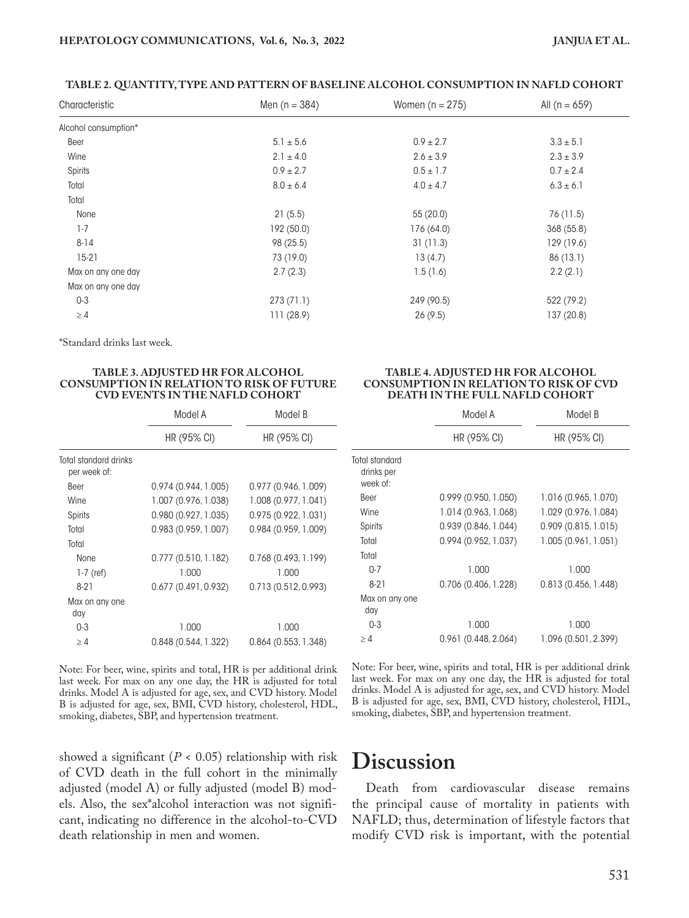#### **TABLE 2. QUANTITY, TYPE AND PATTERN OF BASELINE ALCOHOL CONSUMPTION IN NAFLD COHORT**

| Characteristic       | Men $(n = 384)$ | Women $(n = 275)$ | All (n = $659$ ) |
|----------------------|-----------------|-------------------|------------------|
| Alcohol consumption* |                 |                   |                  |
| Beer                 | $5.1 \pm 5.6$   | $0.9 \pm 2.7$     | $3.3 \pm 5.1$    |
| Wine                 | $2.1 \pm 4.0$   | $2.6 \pm 3.9$     | $2.3 \pm 3.9$    |
| Spirits              | $0.9 \pm 2.7$   | $0.5 \pm 1.7$     | $0.7 \pm 2.4$    |
| Total                | $8.0 \pm 6.4$   | $4.0 \pm 4.7$     | $6.3 \pm 6.1$    |
| Total                |                 |                   |                  |
| None                 | 21(5.5)         | 55(20.0)          | 76 (11.5)        |
| $1-7$                | 192 (50.0)      | 176 (64.0)        | 368 (55.8)       |
| $8 - 14$             | 98 (25.5)       | 31(11.3)          | 129 (19.6)       |
| $15-21$              | 73 (19.0)       | 13(4.7)           | 86 (13.1)        |
| Max on any one day   | 2.7(2.3)        | 1.5(1.6)          | 2.2(2.1)         |
| Max on any one day   |                 |                   |                  |
| $0 - 3$              | 273(71.1)       | 249 (90.5)        | 522 (79.2)       |
| $\geq 4$             | 111(28.9)       | 26(9.5)           | 137 (20.8)       |

\*Standard drinks last week.

#### **TABLE 3. ADJUSTED HR FOR ALCOHOL CONSUMPTION IN RELATION TO RISK OF FUTURE CVD EVENTS IN THE NAFLD COHORT**

|                                       | Model A              | Model B              |  |
|---------------------------------------|----------------------|----------------------|--|
|                                       | HR(95% CI)           | $HR(95\% CI)$        |  |
| Total standard drinks<br>per week of: |                      |                      |  |
| <b>Beer</b>                           | 0.974(0.944, 1.005)  | 0.977(0.946, 1.009)  |  |
| Wine                                  | 1.007 (0.976, 1.038) | 1.008 (0.977, 1.041) |  |
| Spirits                               | 0.980(0.927, 1.035)  | 0.975(0.922, 1.031)  |  |
| Total                                 | 0.983(0.959, 1.007)  | 0.984(0.959, 1.009)  |  |
| Total                                 |                      |                      |  |
| <b>None</b>                           | 0.777(0.510, 1.182)  | 0.768(0.493, 1.199)  |  |
| $1-7$ (ref)                           | 1.000                | 1.000                |  |
| $8-21$                                | 0.677(0.491, 0.932)  | 0.713(0.512, 0.993)  |  |
| Max on any one                        |                      |                      |  |
| day                                   |                      |                      |  |
| $0 - 3$                               | 1.000                | 1.000                |  |
| >4                                    | 0.848(0.544, 1.322)  | 0.864(0.553, 1.348)  |  |

Note: For beer, wine, spirits and total, HR is per additional drink last week. For max on any one day, the HR is adjusted for total drinks. Model A is adjusted for age, sex, and CVD history. Model B is adjusted for age, sex, BMI, CVD history, cholesterol, HDL, smoking, diabetes, SBP, and hypertension treatment.

showed a significant  $(P < 0.05)$  relationship with risk of CVD death in the full cohort in the minimally adjusted (model A) or fully adjusted (model B) models. Also, the sex\*alcohol interaction was not significant, indicating no difference in the alcohol-to-CVD death relationship in men and women.

#### **TABLE 4. ADJUSTED HR FOR ALCOHOL CONSUMPTION IN RELATION TO RISK OF CVD DEATH IN THE FULL NAFLD COHORT**

| Model A              | Model B              |  |
|----------------------|----------------------|--|
| HR (95% CI)          | HR (95% CI)          |  |
|                      |                      |  |
| 0.999(0.950, 1.050)  | 1.016 (0.965, 1.070) |  |
| 1.014 (0.963, 1.068) | 1.029 (0.976, 1.084) |  |
| 0.939(0.846, 1.044)  | 0.909(0.815, 1.015)  |  |
| 0.994(0.952, 1.037)  | 1.005(0.961, 1.051)  |  |
|                      |                      |  |
| 1.000                | 1.000                |  |
| 0.706 (0.406, 1.228) | 0.813(0.456, 1.448)  |  |
|                      |                      |  |
| 1.000                | 1.000                |  |
| 0.961(0.448, 2.064)  | 1.096 (0.501, 2.399) |  |
|                      |                      |  |

Note: For beer, wine, spirits and total, HR is per additional drink last week. For max on any one day, the HR is adjusted for total drinks. Model A is adjusted for age, sex, and CVD history. Model B is adjusted for age, sex, BMI, CVD history, cholesterol, HDL, smoking, diabetes, SBP, and hypertension treatment.

# **Discussion**

Death from cardiovascular disease remains the principal cause of mortality in patients with NAFLD; thus, determination of lifestyle factors that modify CVD risk is important, with the potential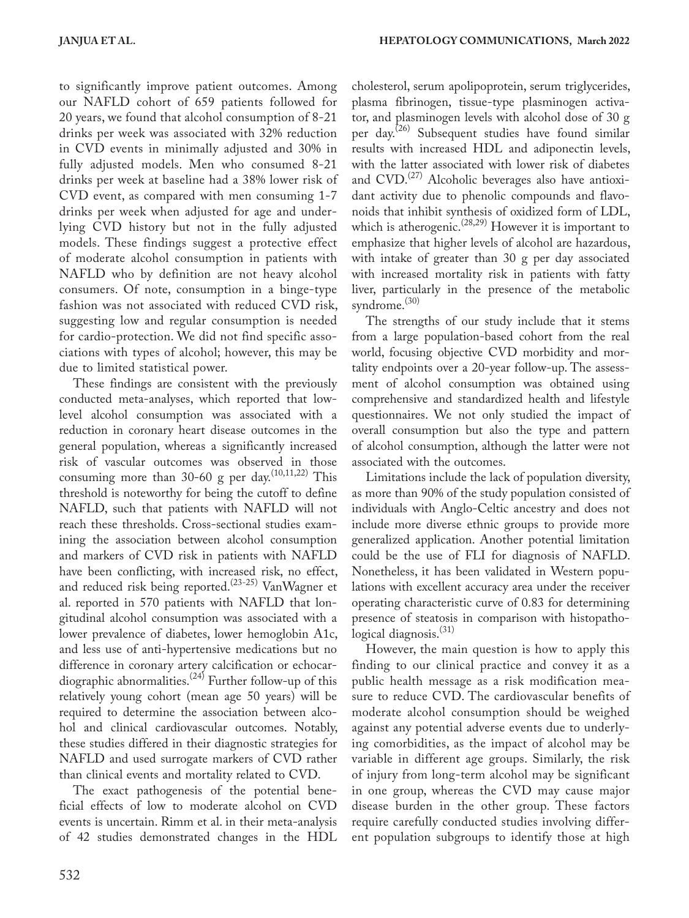to significantly improve patient outcomes. Among our NAFLD cohort of 659 patients followed for 20 years, we found that alcohol consumption of 8-21 drinks per week was associated with 32% reduction in CVD events in minimally adjusted and 30% in fully adjusted models. Men who consumed 8-21 drinks per week at baseline had a 38% lower risk of CVD event, as compared with men consuming 1-7 drinks per week when adjusted for age and underlying CVD history but not in the fully adjusted models. These findings suggest a protective effect of moderate alcohol consumption in patients with NAFLD who by definition are not heavy alcohol consumers. Of note, consumption in a binge-type fashion was not associated with reduced CVD risk, suggesting low and regular consumption is needed for cardio-protection. We did not find specific associations with types of alcohol; however, this may be due to limited statistical power.

These findings are consistent with the previously conducted meta-analyses, which reported that lowlevel alcohol consumption was associated with a reduction in coronary heart disease outcomes in the general population, whereas a significantly increased risk of vascular outcomes was observed in those consuming more than 30-60 g per day.<sup> $(10,11,22)$ </sup> This threshold is noteworthy for being the cutoff to define NAFLD, such that patients with NAFLD will not reach these thresholds. Cross-sectional studies examining the association between alcohol consumption and markers of CVD risk in patients with NAFLD have been conflicting, with increased risk, no effect, and reduced risk being reported.<sup>(23-25)</sup> VanWagner et al. reported in 570 patients with NAFLD that longitudinal alcohol consumption was associated with a lower prevalence of diabetes, lower hemoglobin A1c, and less use of anti-hypertensive medications but no difference in coronary artery calcification or echocardiographic abnormalities.<sup>(24)</sup> Further follow-up of this relatively young cohort (mean age 50 years) will be required to determine the association between alcohol and clinical cardiovascular outcomes. Notably, these studies differed in their diagnostic strategies for NAFLD and used surrogate markers of CVD rather than clinical events and mortality related to CVD.

The exact pathogenesis of the potential beneficial effects of low to moderate alcohol on CVD events is uncertain. Rimm et al. in their meta-analysis of 42 studies demonstrated changes in the HDL cholesterol, serum apolipoprotein, serum triglycerides, plasma fibrinogen, tissue-type plasminogen activator, and plasminogen levels with alcohol dose of 30 g per day.(26) Subsequent studies have found similar results with increased HDL and adiponectin levels, with the latter associated with lower risk of diabetes and  $CVD$ .<sup> $(27)$ </sup> Alcoholic beverages also have antioxidant activity due to phenolic compounds and flavonoids that inhibit synthesis of oxidized form of LDL, which is atherogenic.<sup>(28,29)</sup> However it is important to emphasize that higher levels of alcohol are hazardous, with intake of greater than 30 g per day associated with increased mortality risk in patients with fatty liver, particularly in the presence of the metabolic syndrome.<sup>(30)</sup>

The strengths of our study include that it stems from a large population-based cohort from the real world, focusing objective CVD morbidity and mortality endpoints over a 20-year follow-up. The assessment of alcohol consumption was obtained using comprehensive and standardized health and lifestyle questionnaires. We not only studied the impact of overall consumption but also the type and pattern of alcohol consumption, although the latter were not associated with the outcomes.

Limitations include the lack of population diversity, as more than 90% of the study population consisted of individuals with Anglo-Celtic ancestry and does not include more diverse ethnic groups to provide more generalized application. Another potential limitation could be the use of FLI for diagnosis of NAFLD. Nonetheless, it has been validated in Western populations with excellent accuracy area under the receiver operating characteristic curve of 0.83 for determining presence of steatosis in comparison with histopathological diagnosis.<sup>(31)</sup>

However, the main question is how to apply this finding to our clinical practice and convey it as a public health message as a risk modification measure to reduce CVD. The cardiovascular benefits of moderate alcohol consumption should be weighed against any potential adverse events due to underlying comorbidities, as the impact of alcohol may be variable in different age groups. Similarly, the risk of injury from long-term alcohol may be significant in one group, whereas the CVD may cause major disease burden in the other group. These factors require carefully conducted studies involving different population subgroups to identify those at high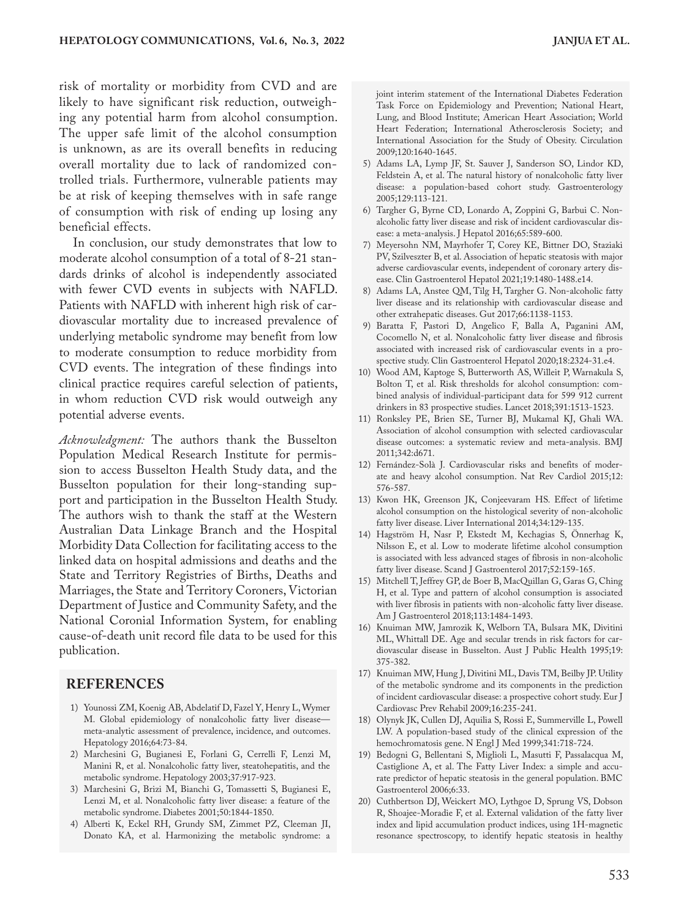risk of mortality or morbidity from CVD and are likely to have significant risk reduction, outweighing any potential harm from alcohol consumption. The upper safe limit of the alcohol consumption is unknown, as are its overall benefits in reducing overall mortality due to lack of randomized controlled trials. Furthermore, vulnerable patients may be at risk of keeping themselves with in safe range of consumption with risk of ending up losing any beneficial effects.

In conclusion, our study demonstrates that low to moderate alcohol consumption of a total of 8-21 standards drinks of alcohol is independently associated with fewer CVD events in subjects with NAFLD. Patients with NAFLD with inherent high risk of cardiovascular mortality due to increased prevalence of underlying metabolic syndrome may benefit from low to moderate consumption to reduce morbidity from CVD events. The integration of these findings into clinical practice requires careful selection of patients, in whom reduction CVD risk would outweigh any potential adverse events.

*Acknowledgment:* The authors thank the Busselton Population Medical Research Institute for permission to access Busselton Health Study data, and the Busselton population for their long-standing support and participation in the Busselton Health Study. The authors wish to thank the staff at the Western Australian Data Linkage Branch and the Hospital Morbidity Data Collection for facilitating access to the linked data on hospital admissions and deaths and the State and Territory Registries of Births, Deaths and Marriages, the State and Territory Coroners, Victorian Department of Justice and Community Safety, and the National Coronial Information System, for enabling cause-of-death unit record file data to be used for this publication.

#### **REFERENCES**

- 1) Younossi ZM, Koenig AB, Abdelatif D, Fazel Y, Henry L, Wymer M. Global epidemiology of nonalcoholic fatty liver disease meta-analytic assessment of prevalence, incidence, and outcomes. Hepatology 2016;64:73-84.
- 2) Marchesini G, Bugianesi E, Forlani G, Cerrelli F, Lenzi M, Manini R, et al. Nonalcoholic fatty liver, steatohepatitis, and the metabolic syndrome. Hepatology 2003;37:917-923.
- 3) Marchesini G, Brizi M, Bianchi G, Tomassetti S, Bugianesi E, Lenzi M, et al. Nonalcoholic fatty liver disease: a feature of the metabolic syndrome. Diabetes 2001;50:1844-1850.
- 4) Alberti K, Eckel RH, Grundy SM, Zimmet PZ, Cleeman JI, Donato KA, et al. Harmonizing the metabolic syndrome: a

joint interim statement of the International Diabetes Federation Task Force on Epidemiology and Prevention; National Heart, Lung, and Blood Institute; American Heart Association; World Heart Federation; International Atherosclerosis Society; and International Association for the Study of Obesity. Circulation 2009;120:1640-1645.

- 5) Adams LA, Lymp JF, St. Sauver J, Sanderson SO, Lindor KD, Feldstein A, et al. The natural history of nonalcoholic fatty liver disease: a population-based cohort study. Gastroenterology 2005;129:113-121.
- 6) Targher G, Byrne CD, Lonardo A, Zoppini G, Barbui C. Nonalcoholic fatty liver disease and risk of incident cardiovascular disease: a meta-analysis. J Hepatol 2016;65:589-600.
- 7) Meyersohn NM, Mayrhofer T, Corey KE, Bittner DO, Staziaki PV, Szilveszter B, et al. Association of hepatic steatosis with major adverse cardiovascular events, independent of coronary artery disease. Clin Gastroenterol Hepatol 2021;19:1480-1488.e14.
- 8) Adams LA, Anstee QM, Tilg H, Targher G. Non-alcoholic fatty liver disease and its relationship with cardiovascular disease and other extrahepatic diseases. Gut 2017;66:1138-1153.
- 9) Baratta F, Pastori D, Angelico F, Balla A, Paganini AM, Cocomello N, et al. Nonalcoholic fatty liver disease and fibrosis associated with increased risk of cardiovascular events in a prospective study. Clin Gastroenterol Hepatol 2020;18:2324-31.e4.
- 10) Wood AM, Kaptoge S, Butterworth AS, Willeit P, Warnakula S, Bolton T, et al. Risk thresholds for alcohol consumption: combined analysis of individual-participant data for 599 912 current drinkers in 83 prospective studies. Lancet 2018;391:1513-1523.
- 11) Ronksley PE, Brien SE, Turner BJ, Mukamal KJ, Ghali WA. Association of alcohol consumption with selected cardiovascular disease outcomes: a systematic review and meta-analysis. BMJ 2011;342:d671.
- 12) Fernández-Solà J. Cardiovascular risks and benefits of moderate and heavy alcohol consumption. Nat Rev Cardiol 2015;12: 576-587.
- 13) Kwon HK, Greenson JK, Conjeevaram HS. Effect of lifetime alcohol consumption on the histological severity of non-alcoholic fatty liver disease. Liver International 2014;34:129-135.
- 14) Hagström H, Nasr P, Ekstedt M, Kechagias S, Önnerhag K, Nilsson E, et al. Low to moderate lifetime alcohol consumption is associated with less advanced stages of fibrosis in non-alcoholic fatty liver disease. Scand J Gastroenterol 2017;52:159-165.
- 15) Mitchell T, Jeffrey GP, de Boer B, MacQuillan G, Garas G, Ching H, et al. Type and pattern of alcohol consumption is associated with liver fibrosis in patients with non-alcoholic fatty liver disease. Am J Gastroenterol 2018;113:1484-1493.
- 16) Knuiman MW, Jamrozik K, Welborn TA, Bulsara MK, Divitini ML, Whittall DE. Age and secular trends in risk factors for cardiovascular disease in Busselton. Aust J Public Health 1995;19: 375-382.
- 17) Knuiman MW, Hung J, Divitini ML, Davis TM, Beilby JP. Utility of the metabolic syndrome and its components in the prediction of incident cardiovascular disease: a prospective cohort study. Eur J Cardiovasc Prev Rehabil 2009;16:235-241.
- 18) Olynyk JK, Cullen DJ, Aquilia S, Rossi E, Summerville L, Powell LW. A population-based study of the clinical expression of the hemochromatosis gene. N Engl J Med 1999;341:718-724.
- 19) Bedogni G, Bellentani S, Miglioli L, Masutti F, Passalacqua M, Castiglione A, et al. The Fatty Liver Index: a simple and accurate predictor of hepatic steatosis in the general population. BMC Gastroenterol 2006;6:33.
- 20) Cuthbertson DJ, Weickert MO, Lythgoe D, Sprung VS, Dobson R, Shoajee-Moradie F, et al. External validation of the fatty liver index and lipid accumulation product indices, using 1H-magnetic resonance spectroscopy, to identify hepatic steatosis in healthy